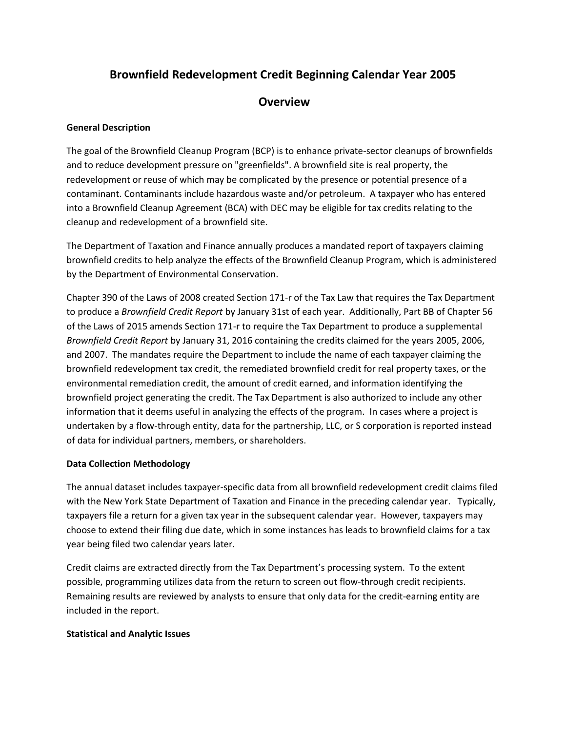# **Brownfield Redevelopment Credit Beginning Calendar Year 2005**

# **Overview**

#### **General Description**

The goal of the Brownfield Cleanup Program (BCP) is to enhance private-sector cleanups of brownfields and to reduce development pressure on "greenfields". A brownfield site is real property, the redevelopment or reuse of which may be complicated by the presence or potential presence of a contaminant. Contaminants include hazardous waste and/or petroleum. A taxpayer who has entered into a Brownfield Cleanup Agreement (BCA) with DEC may be eligible for tax credits relating to the cleanup and redevelopment of a brownfield site.

The Department of Taxation and Finance annually produces a mandated report of taxpayers claiming brownfield credits to help analyze the effects of the Brownfield Cleanup Program, which is administered by the Department of Environmental Conservation.

Chapter 390 of the Laws of 2008 created Section 171-r of the Tax Law that requires the Tax Department to produce a *Brownfield Credit Report* by January 31st of each year. Additionally, Part BB of Chapter 56 of the Laws of 2015 amends Section 171-r to require the Tax Department to produce a supplemental *Brownfield Credit Report* by January 31, 2016 containing the credits claimed for the years 2005, 2006, and 2007. The mandates require the Department to include the name of each taxpayer claiming the brownfield redevelopment tax credit, the remediated brownfield credit for real property taxes, or the environmental remediation credit, the amount of credit earned, and information identifying the brownfield project generating the credit. The Tax Department is also authorized to include any other information that it deems useful in analyzing the effects of the program. In cases where a project is undertaken by a flow-through entity, data for the partnership, LLC, or S corporation is reported instead of data for individual partners, members, or shareholders.

#### **Data Collection Methodology**

The annual dataset includes taxpayer-specific data from all brownfield redevelopment credit claims filed with the New York State Department of Taxation and Finance in the preceding calendar year. Typically, taxpayers file a return for a given tax year in the subsequent calendar year. However, taxpayers may choose to extend their filing due date, which in some instances has leads to brownfield claims for a tax year being filed two calendar years later.

Credit claims are extracted directly from the Tax Department's processing system. To the extent possible, programming utilizes data from the return to screen out flow-through credit recipients. Remaining results are reviewed by analysts to ensure that only data for the credit-earning entity are included in the report.

## **Statistical and Analytic Issues**